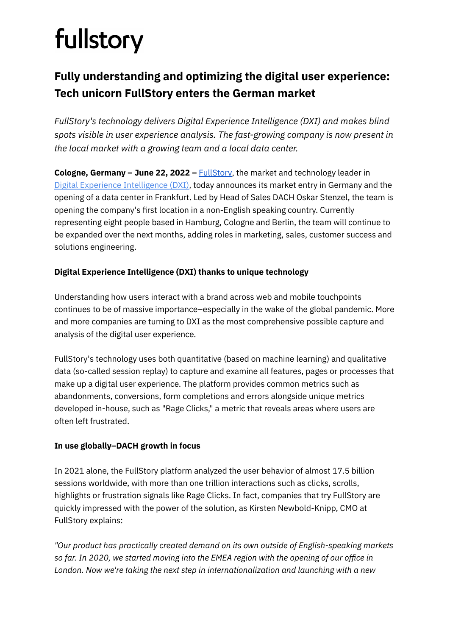# fullstory

# **Fully understanding and optimizing the digital user experience: Tech unicorn FullStory enters the German market**

*FullStory's technology delivers Digital Experience Intelligence (DXI) and makes blind spots visible in user experience analysis. The fast-growing company is now present in the local market with a growing team and a local data center.*

**Cologne, Germany – June 22, 2022 –** [FullStory](https://www.fullstory.com/?&utm_source=PR&utm_medium=organic&utm_campaign=2021-05-21-PR&utm_offer=demo), the market and technology leader in Digital Experience [Intelligence](https://c212.net/c/link/?t=0&l=en&o=3452209-1&h=1201290124&u=https%3A%2F%2Fwww.fullstory.com%2Fdigital-experience-intelligence-platform%2F&a=Digital+Experience+Intelligence+(DXI)) (DXI), today announces its market entry in Germany and the opening of a data center in Frankfurt. Led by Head of Sales DACH Oskar Stenzel, the team is opening the company's first location in a non-English speaking country. Currently representing eight people based in Hamburg, Cologne and Berlin, the team will continue to be expanded over the next months, adding roles in marketing, sales, customer success and solutions engineering.

# **Digital Experience Intelligence (DXI) thanks to unique technology**

Understanding how users interact with a brand across web and mobile touchpoints continues to be of massive importance–especially in the wake of the global pandemic. More and more companies are turning to DXI as the most comprehensive possible capture and analysis of the digital user experience.

FullStory's technology uses both quantitative (based on machine learning) and qualitative data (so-called session replay) to capture and examine all features, pages or processes that make up a digital user experience. The platform provides common metrics such as abandonments, conversions, form completions and errors alongside unique metrics developed in-house, such as "Rage Clicks," a metric that reveals areas where users are often left frustrated.

# **In use globally–DACH growth in focus**

In 2021 alone, the FullStory platform analyzed the user behavior of almost 17.5 billion sessions worldwide, with more than one trillion interactions such as clicks, scrolls, highlights or frustration signals like Rage Clicks. In fact, companies that try FullStory are quickly impressed with the power of the solution, as Kirsten Newbold-Knipp, CMO at FullStory explains:

*"Our product has practically created demand on its own outside of English-speaking markets so far. In 2020, we started moving into the EMEA region with the opening of our office in London. Now we're taking the next step in internationalization and launching with a new*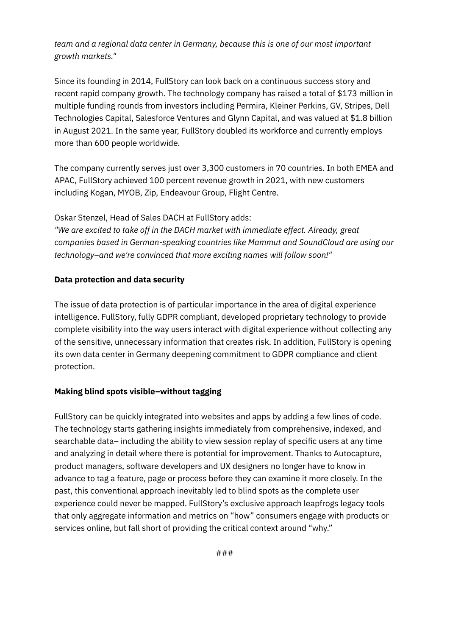## *team and a regional data center in Germany, because this is one of our most important growth markets."*

Since its founding in 2014, FullStory can look back on a continuous success story and recent rapid company growth. The technology company has raised a total of \$173 million in multiple funding rounds from investors including Permira, Kleiner Perkins, GV, Stripes, Dell Technologies Capital, Salesforce Ventures and Glynn Capital, and was valued at \$1.8 billion in August 2021. In the same year, FullStory doubled its workforce and currently employs more than 600 people worldwide.

The company currently serves just over 3,300 customers in 70 countries. In both EMEA and APAC, FullStory achieved 100 percent revenue growth in 2021, with new customers including Kogan, MYOB, Zip, Endeavour Group, Flight Centre.

### Oskar Stenzel, Head of Sales DACH at FullStory adds:

*"We are excited to take off in the DACH market with immediate effect. Already, great companies based in German-speaking countries like Mammut and SoundCloud are using our technology–and we're convinced that more exciting names will follow soon!"*

#### **Data protection and data security**

The issue of data protection is of particular importance in the area of digital experience intelligence. FullStory, fully GDPR compliant, developed proprietary technology to provide complete visibility into the way users interact with digital experience without collecting any of the sensitive, unnecessary information that creates risk. In addition, FullStory is opening its own data center in Germany deepening commitment to GDPR compliance and client protection.

#### **Making blind spots visible–without tagging**

FullStory can be quickly integrated into websites and apps by adding a few lines of code. The technology starts gathering insights immediately from comprehensive, indexed, and searchable data– including the ability to view session replay of specific users at any time and analyzing in detail where there is potential for improvement. Thanks to Autocapture, product managers, software developers and UX designers no longer have to know in advance to tag a feature, page or process before they can examine it more closely. In the past, this conventional approach inevitably led to blind spots as the complete user experience could never be mapped. FullStory's exclusive approach leapfrogs legacy tools that only aggregate information and metrics on "how" consumers engage with products or services online, but fall short of providing the critical context around "why."